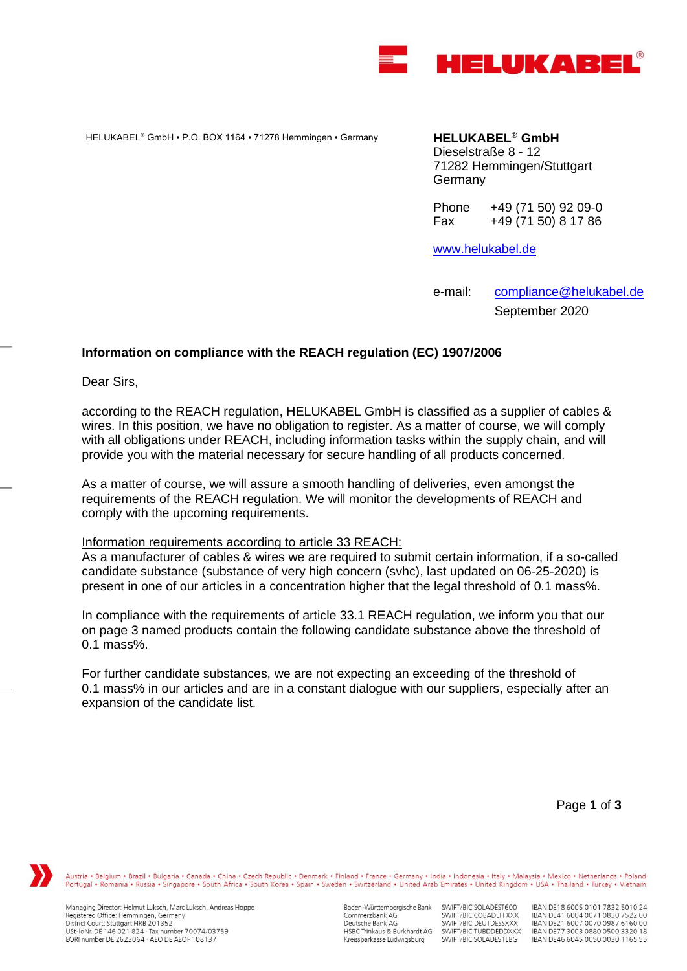

HELUKABEL® GmbH • P.O. BOX 1164 • 71278 Hemmingen • Germany **HELUKABEL® GmbH**

Dieselstraße 8 - 12 71282 Hemmingen/Stuttgart Germany

Phone +49 (71 50) 92 09-0<br>Fax +49 (71 50) 8 17 86 Fax +49 (71 50) 8 17 86

[www.helukabel.de](http://www.helukabel.de/)

e-mail: [compliance@helukabel.de](mailto:compliance@helukabel.de) September 2020

## **Information on compliance with the REACH regulation (EC) 1907/2006**

Dear Sirs,

according to the REACH regulation, HELUKABEL GmbH is classified as a supplier of cables & wires. In this position, we have no obligation to register. As a matter of course, we will comply with all obligations under REACH, including information tasks within the supply chain, and will provide you with the material necessary for secure handling of all products concerned.

As a matter of course, we will assure a smooth handling of deliveries, even amongst the requirements of the REACH regulation. We will monitor the developments of REACH and comply with the upcoming requirements.

## Information requirements according to article 33 REACH:

As a manufacturer of cables & wires we are required to submit certain information, if a so-called candidate substance (substance of very high concern (svhc), last updated on 06-25-2020) is present in one of our articles in a concentration higher that the legal threshold of 0.1 mass%.

In compliance with the requirements of article 33.1 REACH regulation, we inform you that our on page 3 named products contain the following candidate substance above the threshold of 0.1 mass%.

For further candidate substances, we are not expecting an exceeding of the threshold of 0.1 mass% in our articles and are in a constant dialogue with our suppliers, especially after an expansion of the candidate list.

Page **1** of **3**

Austria • Belgium • Brazil • Bulgaria • Canada • China • Czech Republic • Denmark • Finland • France • Germany • India • Indonesia • Italy • Malaysia • Mexico • Netherlands • Poland<br>Portugal • Romania • Russia • Singapore

Managing Director: Helmut Luksch, Marc Luksch, Andreas Hoppe Registered Office: Hemmingen, Germany<br>District Court: Stuttgart HRB 201352 USt-IdNr. DE 146 021 824 · Tax number 70074/03759<br>EORI number DE 2623064 · AEO DE AEOF 108137

Baden-Württembergische Bank Commerzbank AG Deutsche Bank AG HSBC Trinkaus & Burkhardt AG Kreissparkasse Ludwigsburg

SWIFT/BIC SOLADEST600 SWIFT/BIC COBADEFFXXX<br>SWIFT/BIC DEUTDESSXXX SWIFT/BIC TUBDDEDDXXX<br>SWIFT/BIC SOLADES1LBG

IBAN DE18 6005 0101 7832 5010 24 IBAN DE41 6004 0071 0830 7522 00<br>IBAN DE41 6004 0071 0830 7522 00 IBAN DE77 3003 0880 0500 3320 18 IBAN DE46 6045 0050 0030 1165 55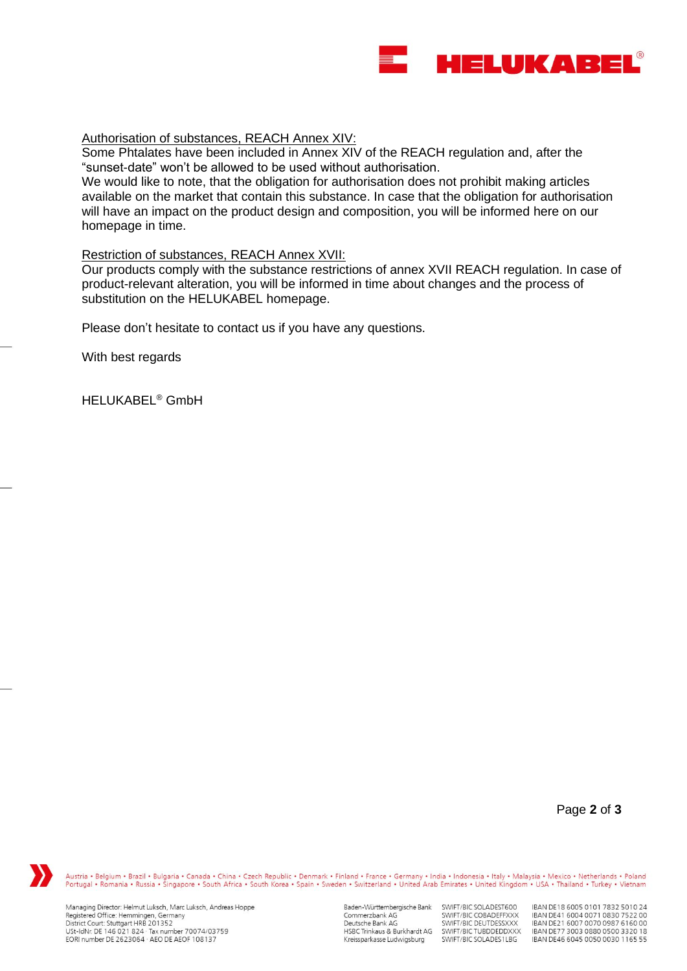

## Authorisation of substances, REACH Annex XIV:

Some Phtalates have been included in Annex XIV of the REACH regulation and, after the "sunset-date" won't be allowed to be used without authorisation.

We would like to note, that the obligation for authorisation does not prohibit making articles available on the market that contain this substance. In case that the obligation for authorisation will have an impact on the product design and composition, you will be informed here on our homepage in time.

## Restriction of substances, REACH Annex XVII:

Our products comply with the substance restrictions of annex XVII REACH regulation. In case of product-relevant alteration, you will be informed in time about changes and the process of substitution on the HELUKABEL homepage.

Please don't hesitate to contact us if you have any questions.

With best regards

HELUKABEL® GmbH

Page **2** of **3**



Austria • Belgium • Brazil • Bulgaria • Canada • China • Czech Republic • Denmark • Finland • France • Germany • India • Indonesia • Italy • Malaysia • Mexico • Netherlands • Poland<br>Portugal • Romania • Russia • Singapore

Managing Director: Helmut Luksch, Marc Luksch, Andreas Hoppe Registered Office: Hemmingen, Germany<br>District Court: Stuttgart HRB 201352 USt-IdNr. DE 146 021 824 · Tax number 70074/03759<br>EORI number DE 2623064 · AEO DE AEOF 108137

Baden-Württembergische Bank SWIFT/BIC SOLADEST600 Commerzbank AG Deutsche Bank AG HSBC Trinkaus & Burkhardt AG Kreissparkasse Ludwigsburg

SWIFT/BIC COBADEFFXXX<br>SWIFT/BIC DEUTDESSXXX SWIFT/BIC TUBDDEDDXXX<br>SWIFT/BIC SOLADES1LBG IBAN DE18 6005 0101 7832 5010 24 IBAN DE41 6004 0071 0830 7522 00<br>IBAN DE41 6004 0071 0830 7522 00 IBAN DE77 3003 0880 0500 3320 18 IBAN DE46 6045 0050 0030 1165 55